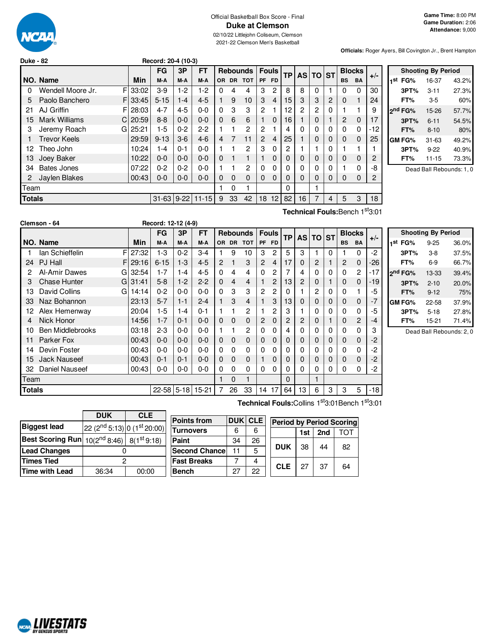

# Official Basketball Box Score - Final **Duke at Clemson**

02/10/22 Littlejohn Coliseum, Clemson 2021-22 Clemson Men's Basketball

**Officials:** Roger Ayers, Bill Covington Jr., Brent Hampton

| <b>Duke - 82</b> |                            |       | Record: 20-4 (10-3) |         |           |          |          |                 |                |                |           |    |             |                |           |               |       |
|------------------|----------------------------|-------|---------------------|---------|-----------|----------|----------|-----------------|----------------|----------------|-----------|----|-------------|----------------|-----------|---------------|-------|
|                  |                            |       | <b>FG</b>           | 3P      | <b>FT</b> |          |          | <b>Rebounds</b> |                | <b>Fouls</b>   | <b>TP</b> |    | AS TO ST    |                |           | <b>Blocks</b> | $+/-$ |
|                  | NO. Name                   | Min   | M-A                 | M-A     | M-A       | OR.      |          | DR TOT          | <b>PF</b>      | <b>FD</b>      |           |    |             |                | <b>BS</b> | <b>BA</b>     |       |
| 0                | F<br>Wendell Moore Jr.     | 33:02 | $3-9$               | $1-2$   | 1-2       | 0        | 4        | 4               | 3              | 2              | 8         | 8  | 0           |                | 0         | 0             | 30    |
| 5                | Paolo Banchero<br>F.       | 33:45 | $5 - 15$            | $1 - 4$ | $4 - 5$   |          | 9        | 10              | 3              | 4              | 15        | 3  | 3           | $\overline{2}$ | 0         |               | 24    |
| 21               | AJ Griffin<br>F            | 28:03 | $4 - 7$             | $4 - 5$ | $0 - 0$   | $\Omega$ | 3        | 3               | $\overline{2}$ |                | 12        | 2  | 2           | 0              |           |               | 9     |
| 15               | <b>Mark Williams</b><br>C. | 20:59 | $8 - 8$             | $0 - 0$ | $0 - 0$   | $\Omega$ | 6        | 6               |                | $\Omega$       | 16        |    | 0           |                | 2         | $\Omega$      | 17    |
| 3                | Jeremy Roach<br>GI         | 25:21 | $1-5$               | $0 - 2$ | $2 - 2$   |          |          | $\overline{2}$  | $\overline{2}$ |                | 4         | 0  | 0           | 0              | $\Omega$  | 0             | $-12$ |
|                  | <b>Trevor Keels</b>        | 29:59 | $9 - 13$            | $3-6$   | $4-6$     | 4        | 7        | 11              | $\overline{2}$ | $\overline{4}$ | 25        |    | 0           | $\Omega$       | 0         | 0             | 25    |
| 12               | Theo John                  | 10:24 | $1 - 4$             | $0 - 1$ | $0 - 0$   |          |          | $\overline{2}$  | 3              | $\Omega$       | 2         |    |             | 0              |           |               |       |
| 13               | Joey Baker                 | 10:22 | $0 - 0$             | $0 - 0$ | $0 - 0$   | $\Omega$ | 1        | 1               |                | $\Omega$       | 0         | 0  | 0           | $\Omega$       | 0         | 0             | 2     |
| 34               | <b>Bates Jones</b>         | 07:22 | $0 - 2$             | $0 - 2$ | $0 - 0$   |          |          | $\overline{2}$  | $\Omega$       | $\Omega$       | 0         | 0  | $\mathbf 0$ | 0              |           | 0             | -8    |
| 2                | Jaylen Blakes              | 00:43 | $0-0$               | $0 - 0$ | $0 - 0$   | $\Omega$ | $\Omega$ | 0               | $\Omega$       | $\Omega$       | 0         | 0  | 0           | $\Omega$       | 0         | 0             | 2     |
| <b>Team</b>      |                            |       |                     |         |           |          | 0        |                 |                |                | 0         |    |             |                |           |               |       |
| <b>Totals</b>    |                            |       | $31-63$ 9-22        |         | $11 - 15$ | 9        | 33       | 42              | 18             | 12             | 82        | 16 | 7           | 4              | 5         | 3             | 18    |

|     |                     | <b>Shooting By Period</b> |       |
|-----|---------------------|---------------------------|-------|
| 1st | FG%                 | 16-37                     | 43.2% |
|     | 3PT%                | $3 - 11$                  | 27.3% |
|     | FT%                 | 3-5                       | 60%   |
|     | 2 <sup>nd</sup> FG% | 15-26                     | 57.7% |
|     | 3PT%                | $6 - 11$                  | 54.5% |
|     | FT%                 | $8 - 10$                  | 80%   |
|     | GM FG%              | $31 - 63$                 | 49.2% |
|     | 3PT%                | $9 - 22$                  | 40.9% |
|     | FT%                 | $11 - 15$                 | 73.3% |

Dead Ball Rebounds: 1, 0

**Technical Fouls:**Bench 1 st3:01

|        | Clemson - 64            |          | Record: 12-12 (4-9) |          |           |                |             |                 |                |                |           |          |          |          |           |               |       |                |
|--------|-------------------------|----------|---------------------|----------|-----------|----------------|-------------|-----------------|----------------|----------------|-----------|----------|----------|----------|-----------|---------------|-------|----------------|
|        |                         |          | FG                  | 3P       | FT        |                |             | <b>Rebounds</b> |                | <b>Fouls</b>   | <b>TP</b> |          | AS TO ST |          |           | <b>Blocks</b> | $+/-$ |                |
|        | NO. Name                | Min      | M-A                 | M-A      | M-A       | OR.            | <b>DR</b>   | <b>TOT</b>      | <b>PF</b>      | <b>FD</b>      |           |          |          |          | <b>BS</b> | <b>BA</b>     |       | '1             |
|        | lan Schieffelin<br>F    | 27:32    | $1-3$               | $0 - 2$  | $3 - 4$   |                | 9           | 10              | 3              | 2              | 5         | 3        |          | $\Omega$ |           | $\Omega$      | $-2$  |                |
| 24     | PJ Hall                 | F129:16  | $6 - 15$            | $1-3$    | $4 - 5$   | $\overline{2}$ |             | 3               | $\overline{2}$ | 4              | 17        | 0        | 2        |          | 2         | $\Omega$      | $-26$ |                |
| 2      | Al-Amir Dawes<br>GI     | 32:54    | $1 - 7$             | $1 - 4$  | $4 - 5$   | $\Omega$       | 4           | 4               | 0              | 2              | 7         | 4        | 0        | 0        | 0         | 2             | $-17$ | 2 <sup>r</sup> |
| 3      | <b>Chase Hunter</b>     | GI 31:41 | $5-8$               | $1-2$    | $2 - 2$   | $\Omega$       | 4           | 4               |                | 2              | 13        | 2        | 0        |          | 0         | 0             | $-19$ |                |
| 13     | David Collins<br>GI     | 14:14    | $0 - 2$             | $0-0$    | $0 - 0$   | $\Omega$       | 3           | 3               | 2              | 2              | 0         |          | 2        | 0        | 0         |               | -5    |                |
| 33     | Naz Bohannon            | 23:13    | $5 - 7$             | $1 - 1$  | $2 - 4$   | 1              | 3           | 4               |                | 3              | 13        | 0        | 0        | 0        | 0         | 0             | $-7$  | G              |
| 12     | Alex Hemenway           | 20:04    | 1-5                 | $1 - 4$  | $0 - 1$   | 1              |             | 2               |                | $\overline{c}$ | 3         |          | 0        | 0        | 0         | 0             | -5    |                |
| 4      | Nick Honor              | 14:56    | $1 - 7$             | $0 - 1$  | $0 - 0$   | $\mathbf{0}$   | $\mathbf 0$ | 0               | 2              | $\Omega$       | 2         | 2        | 0        |          | 0         | 2             | -4    |                |
| 10     | <b>Ben Middlebrooks</b> | 03:18    | $2 - 3$             | $0-0$    | $0 - 0$   |                |             | 2               | 0              | $\Omega$       | 4         | 0        | 0        | 0        | 0         | 0             | 3     |                |
| 11     | Parker Fox              | 00:43    | $0 - 0$             | $0 - 0$  | $0 - 0$   | $\Omega$       | $\Omega$    | 0               | $\Omega$       | $\Omega$       | 0         | $\Omega$ | $\Omega$ | 0        | $\Omega$  | 0             | $-2$  |                |
| 14     | Devin Foster            | 00:43    | $0-0$               | $0-0$    | $0-0$     | 0              | 0           | 0               | 0              | 0              | 0         | 0        | 0        | 0        | 0         | 0             | -2    |                |
| 15     | <b>Jack Nauseef</b>     | 00:43    | $0 - 1$             | $0 - 1$  | $0 - 0$   | $\mathbf 0$    | $\mathbf 0$ | 0               |                | $\Omega$       | 0         | 0        | 0        | 0        | 0         | 0             | -2    |                |
| 32     | Daniel Nauseef          | 00:43    | $0-0$               | $0-0$    | $0 - 0$   | 0              | 0           | 0               | 0              | $\Omega$       | 0         | $\Omega$ | 0        | 0        | $\Omega$  | $\Omega$      | $-2$  |                |
| Team   |                         |          |                     |          |           |                | 0           | 1               |                |                | 0         |          |          |          |           |               |       |                |
| Totals |                         |          | $22 - 58$           | $5 - 18$ | $15 - 21$ |                | 26          | 33              | 14             | 17             | 64        | 13       | 6        | 3        | 3         | 5             | $-18$ |                |

**Shooting By Period 1 st FG%** 9-25 36.0% **3PT%** 3-8 37.5% **FT%** 6-9 66.7% **2 nd FG%** 13-33 39.4% **3PT%** 2-10 20.0% **FT%** 9-12 75% **GM FG%** 22-58 37.9% **3PT%** 5-18 27.8% **FT%** 15-21 71.4%

Dead Ball Rebounds: 2, 0

**Technical Fouls:**Collins 1 st3:01Bench 1 st3:01

|                                                       | <b>DUK</b>                                          | <b>CLE</b> | P |
|-------------------------------------------------------|-----------------------------------------------------|------------|---|
| <b>Biggest lead</b>                                   | 22 (2 <sup>nd</sup> 5:13) 0 (1 <sup>st</sup> 20:00) |            |   |
| <b>Best Scoring Run</b> $10(2^{nd} 8:46)$ 8(1st 9:18) |                                                     |            | P |
| <b>Lead Changes</b>                                   |                                                     |            | s |
| <b>Times Tied</b>                                     | 2                                                   |            | F |
| Time with Lead                                        | 36:34                                               | 00:00      | B |

| <b>Points from</b>   |    | <b>DUK CLE</b> | <b>Period by Period Scoring</b> |     |     |     |  |  |  |
|----------------------|----|----------------|---------------------------------|-----|-----|-----|--|--|--|
| Turnovers            | 6  | 6              |                                 | 1st | 2nd | ומד |  |  |  |
| Paint                | 34 | 26             |                                 |     |     |     |  |  |  |
| <b>Second Chance</b> | 11 | 5              | <b>DUK</b>                      | 38  | 44  | 82  |  |  |  |
| <b>Fast Breaks</b>   |    |                | <b>CLE</b>                      | 27  | 37  |     |  |  |  |
| Bench                | 27 | 22             |                                 |     |     | 64  |  |  |  |

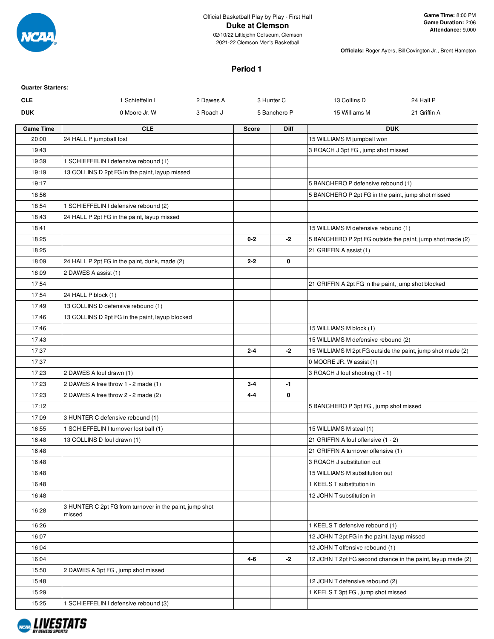

02/10/22 Littlejohn Coliseum, Clemson 2021-22 Clemson Men's Basketball

**Officials:** Roger Ayers, Bill Covington Jr., Brent Hampton

#### **Period 1**

| <b>Quarter Starters:</b> |                                                                   |           |              |              |                                                            |                                                             |
|--------------------------|-------------------------------------------------------------------|-----------|--------------|--------------|------------------------------------------------------------|-------------------------------------------------------------|
| <b>CLE</b>               | 1 Schieffelin I                                                   | 2 Dawes A |              | 3 Hunter C   | 13 Collins D                                               | 24 Hall P                                                   |
| <b>DUK</b>               | 0 Moore Jr. W                                                     | 3 Roach J |              | 5 Banchero P | 15 Williams M                                              | 21 Griffin A                                                |
| <b>Game Time</b>         | <b>CLE</b>                                                        |           | <b>Score</b> | <b>Diff</b>  |                                                            | <b>DUK</b>                                                  |
| 20:00                    | 24 HALL P jumpball lost                                           |           |              |              | 15 WILLIAMS M jumpball won                                 |                                                             |
| 19:43                    |                                                                   |           |              |              | 3 ROACH J 3pt FG, jump shot missed                         |                                                             |
| 19:39                    | 1 SCHIEFFELIN I defensive rebound (1)                             |           |              |              |                                                            |                                                             |
| 19:19                    | 13 COLLINS D 2pt FG in the paint, layup missed                    |           |              |              |                                                            |                                                             |
| 19:17                    |                                                                   |           |              |              | 5 BANCHERO P defensive rebound (1)                         |                                                             |
| 18:56                    |                                                                   |           |              |              | 5 BANCHERO P 2pt FG in the paint, jump shot missed         |                                                             |
| 18:54                    | 1 SCHIEFFELIN I defensive rebound (2)                             |           |              |              |                                                            |                                                             |
| 18:43                    | 24 HALL P 2pt FG in the paint, layup missed                       |           |              |              |                                                            |                                                             |
| 18:41                    |                                                                   |           |              |              | 15 WILLIAMS M defensive rebound (1)                        |                                                             |
| 18:25                    |                                                                   |           | $0 - 2$      | -2           | 5 BANCHERO P 2pt FG outside the paint, jump shot made (2)  |                                                             |
| 18:25                    |                                                                   |           |              |              | 21 GRIFFIN A assist (1)                                    |                                                             |
| 18:09                    | 24 HALL P 2pt FG in the paint, dunk, made (2)                     |           | $2 - 2$      | 0            |                                                            |                                                             |
| 18:09                    | 2 DAWES A assist (1)                                              |           |              |              |                                                            |                                                             |
| 17:54                    |                                                                   |           |              |              | 21 GRIFFIN A 2pt FG in the paint, jump shot blocked        |                                                             |
| 17:54                    | 24 HALL P block (1)                                               |           |              |              |                                                            |                                                             |
| 17:49                    | 13 COLLINS D defensive rebound (1)                                |           |              |              |                                                            |                                                             |
| 17:46                    | 13 COLLINS D 2pt FG in the paint, layup blocked                   |           |              |              |                                                            |                                                             |
| 17:46                    |                                                                   |           |              |              | 15 WILLIAMS M block (1)                                    |                                                             |
| 17:43                    |                                                                   |           |              |              | 15 WILLIAMS M defensive rebound (2)                        |                                                             |
| 17:37                    |                                                                   |           | $2 - 4$      | $-2$         | 15 WILLIAMS M 2pt FG outside the paint, jump shot made (2) |                                                             |
| 17:37                    |                                                                   |           |              |              | 0 MOORE JR. W assist (1)                                   |                                                             |
| 17:23                    | 2 DAWES A foul drawn (1)                                          |           |              |              | 3 ROACH J foul shooting (1 - 1)                            |                                                             |
| 17:23                    | 2 DAWES A free throw 1 - 2 made (1)                               |           | $3-4$        | -1           |                                                            |                                                             |
| 17:23                    | 2 DAWES A free throw 2 - 2 made (2)                               |           | $4 - 4$      | 0            |                                                            |                                                             |
| 17:12                    |                                                                   |           |              |              | 5 BANCHERO P 3pt FG, jump shot missed                      |                                                             |
| 17:09                    | 3 HUNTER C defensive rebound (1)                                  |           |              |              |                                                            |                                                             |
| 16:55                    | 1 SCHIEFFELIN I turnover lost ball (1)                            |           |              |              | 15 WILLIAMS M steal (1)                                    |                                                             |
| 16:48                    | 13 COLLINS D foul drawn (1)                                       |           |              |              | 21 GRIFFIN A foul offensive (1 - 2)                        |                                                             |
| 16:48                    |                                                                   |           |              |              | 21 GRIFFIN A turnover offensive (1)                        |                                                             |
| 16:48                    |                                                                   |           |              |              | 3 ROACH J substitution out                                 |                                                             |
| 16:48                    |                                                                   |           |              |              | 15 WILLIAMS M substitution out                             |                                                             |
| 16:48                    |                                                                   |           |              |              | 1 KEELS T substitution in                                  |                                                             |
| 16:48                    |                                                                   |           |              |              | 12 JOHN T substitution in                                  |                                                             |
| 16:28                    | 3 HUNTER C 2pt FG from turnover in the paint, jump shot<br>missed |           |              |              |                                                            |                                                             |
| 16:26                    |                                                                   |           |              |              | 1 KEELS T defensive rebound (1)                            |                                                             |
| 16:07                    |                                                                   |           |              |              | 12 JOHN T 2pt FG in the paint, layup missed                |                                                             |
| 16:04                    |                                                                   |           |              |              | 12 JOHN T offensive rebound (1)                            |                                                             |
| 16:04                    |                                                                   |           | 4-6          | -2           |                                                            | 12 JOHN T 2pt FG second chance in the paint, layup made (2) |
| 15:50                    | 2 DAWES A 3pt FG, jump shot missed                                |           |              |              |                                                            |                                                             |
| 15:48                    |                                                                   |           |              |              | 12 JOHN T defensive rebound (2)                            |                                                             |
| 15:29                    |                                                                   |           |              |              | 1 KEELS T 3pt FG, jump shot missed                         |                                                             |
| 15:25                    | 1 SCHIEFFELIN I defensive rebound (3)                             |           |              |              |                                                            |                                                             |

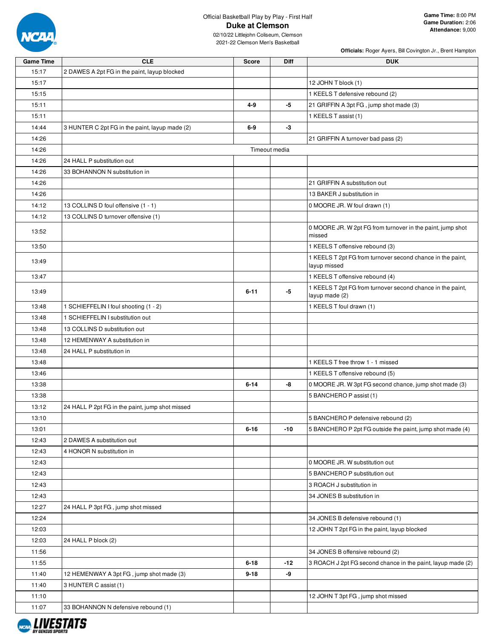

02/10/22 Littlejohn Coliseum, Clemson 2021-22 Clemson Men's Basketball

**Officials:** Roger Ayers, Bill Covington Jr., Brent Hampton

| <b>Game Time</b> | <b>CLE</b>                                      | <b>Score</b>  | Diff  | <b>DUK</b>                                                                   |
|------------------|-------------------------------------------------|---------------|-------|------------------------------------------------------------------------------|
| 15:17            | 2 DAWES A 2pt FG in the paint, layup blocked    |               |       |                                                                              |
| 15:17            |                                                 |               |       | 12 JOHN T block (1)                                                          |
| 15:15            |                                                 |               |       | 1 KEELS T defensive rebound (2)                                              |
| 15:11            |                                                 | $4 - 9$       | -5    | 21 GRIFFIN A 3pt FG, jump shot made (3)                                      |
| 15:11            |                                                 |               |       | 1 KEELS T assist (1)                                                         |
| 14:44            | 3 HUNTER C 2pt FG in the paint, layup made (2)  | $6-9$         | $-3$  |                                                                              |
| 14:26            |                                                 |               |       | 21 GRIFFIN A turnover bad pass (2)                                           |
| 14:26            |                                                 | Timeout media |       |                                                                              |
| 14:26            | 24 HALL P substitution out                      |               |       |                                                                              |
| 14:26            | 33 BOHANNON N substitution in                   |               |       |                                                                              |
| 14:26            |                                                 |               |       | 21 GRIFFIN A substitution out                                                |
| 14:26            |                                                 |               |       | 13 BAKER J substitution in                                                   |
| 14:12            | 13 COLLINS D foul offensive (1 - 1)             |               |       | 0 MOORE JR. W foul drawn (1)                                                 |
| 14:12            | 13 COLLINS D turnover offensive (1)             |               |       |                                                                              |
| 13:52            |                                                 |               |       | 0 MOORE JR. W 2pt FG from turnover in the paint, jump shot<br>missed         |
| 13:50            |                                                 |               |       | 1 KEELS T offensive rebound (3)                                              |
| 13:49            |                                                 |               |       | 1 KEELS T 2pt FG from turnover second chance in the paint,<br>layup missed   |
| 13:47            |                                                 |               |       | 1 KEELS T offensive rebound (4)                                              |
| 13:49            |                                                 | $6 - 11$      | -5    | 1 KEELS T 2pt FG from turnover second chance in the paint,<br>layup made (2) |
| 13:48            | 1 SCHIEFFELIN I foul shooting (1 - 2)           |               |       | 1 KEELS T foul drawn (1)                                                     |
| 13:48            | 1 SCHIEFFELIN I substitution out                |               |       |                                                                              |
| 13:48            | 13 COLLINS D substitution out                   |               |       |                                                                              |
| 13:48            | 12 HEMENWAY A substitution in                   |               |       |                                                                              |
| 13:48            | 24 HALL P substitution in                       |               |       |                                                                              |
| 13:48            |                                                 |               |       | 1 KEELS T free throw 1 - 1 missed                                            |
| 13:46            |                                                 |               |       | 1 KEELS T offensive rebound (5)                                              |
| 13:38            |                                                 | $6 - 14$      | -8    | 0 MOORE JR. W 3pt FG second chance, jump shot made (3)                       |
| 13:38            |                                                 |               |       | 5 BANCHERO P assist (1)                                                      |
| 13:12            | 24 HALL P 2pt FG in the paint, jump shot missed |               |       |                                                                              |
| 13:10            |                                                 |               |       | 5 BANCHERO P defensive rebound (2)                                           |
| 13:01            |                                                 | $6 - 16$      | -10   | 5 BANCHERO P 2pt FG outside the paint, jump shot made (4)                    |
| 12:43            | 2 DAWES A substitution out                      |               |       |                                                                              |
| 12:43            | 4 HONOR N substitution in                       |               |       |                                                                              |
| 12:43            |                                                 |               |       | 0 MOORE JR. W substitution out                                               |
| 12:43            |                                                 |               |       | 5 BANCHERO P substitution out                                                |
| 12:43            |                                                 |               |       | 3 ROACH J substitution in                                                    |
| 12:43            |                                                 |               |       | 34 JONES B substitution in                                                   |
| 12:27            | 24 HALL P 3pt FG, jump shot missed              |               |       |                                                                              |
| 12:24            |                                                 |               |       | 34 JONES B defensive rebound (1)                                             |
| 12:03            |                                                 |               |       | 12 JOHN T 2pt FG in the paint, layup blocked                                 |
| 12:03            | 24 HALL P block (2)                             |               |       |                                                                              |
| 11:56            |                                                 |               |       | 34 JONES B offensive rebound (2)                                             |
| 11:55            |                                                 | $6 - 18$      | $-12$ | 3 ROACH J 2pt FG second chance in the paint, layup made (2)                  |
| 11:40            | 12 HEMENWAY A 3pt FG, jump shot made (3)        | $9 - 18$      | -9    |                                                                              |
| 11:40            | 3 HUNTER C assist (1)                           |               |       |                                                                              |
| 11:10            |                                                 |               |       | 12 JOHN T 3pt FG, jump shot missed                                           |
| 11:07            | 33 BOHANNON N defensive rebound (1)             |               |       |                                                                              |

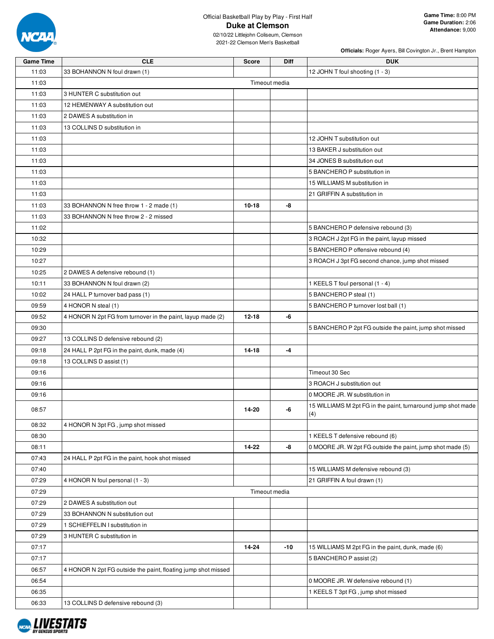

|                  |                                                               |               |      | Officials: Roger Ayers, Bill Covington Jr., Brent Hampton    |
|------------------|---------------------------------------------------------------|---------------|------|--------------------------------------------------------------|
| <b>Game Time</b> | <b>CLE</b>                                                    | <b>Score</b>  | Diff | <b>DUK</b>                                                   |
| 11:03            | 33 BOHANNON N foul drawn (1)                                  |               |      | 12 JOHN T foul shooting (1 - 3)                              |
| 11:03            |                                                               | Timeout media |      |                                                              |
| 11:03            | 3 HUNTER C substitution out                                   |               |      |                                                              |
| 11:03            | 12 HEMENWAY A substitution out                                |               |      |                                                              |
| 11:03            | 2 DAWES A substitution in                                     |               |      |                                                              |
| 11:03            | 13 COLLINS D substitution in                                  |               |      |                                                              |
| 11:03            |                                                               |               |      | 12 JOHN T substitution out                                   |
| 11:03            |                                                               |               |      | 13 BAKER J substitution out                                  |
| 11:03            |                                                               |               |      | 34 JONES B substitution out                                  |
| 11:03            |                                                               |               |      | 5 BANCHERO P substitution in                                 |
| 11:03            |                                                               |               |      | 15 WILLIAMS M substitution in                                |
| 11:03            |                                                               |               |      | 21 GRIFFIN A substitution in                                 |
| 11:03            | 33 BOHANNON N free throw 1 - 2 made (1)                       | $10 - 18$     | -8   |                                                              |
| 11:03            | 33 BOHANNON N free throw 2 - 2 missed                         |               |      |                                                              |
| 11:02            |                                                               |               |      | 5 BANCHERO P defensive rebound (3)                           |
| 10:32            |                                                               |               |      | 3 ROACH J 2pt FG in the paint, layup missed                  |
|                  |                                                               |               |      |                                                              |
| 10:29            |                                                               |               |      | 5 BANCHERO P offensive rebound (4)                           |
| 10:27            |                                                               |               |      | 3 ROACH J 3pt FG second chance, jump shot missed             |
| 10:25            | 2 DAWES A defensive rebound (1)                               |               |      |                                                              |
| 10:11            | 33 BOHANNON N foul drawn (2)                                  |               |      | 1 KEELS T foul personal (1 - 4)                              |
| 10:02            | 24 HALL P turnover bad pass (1)                               |               |      | 5 BANCHERO P steal (1)                                       |
| 09:59            | 4 HONOR N steal (1)                                           |               |      | 5 BANCHERO P turnover lost ball (1)                          |
| 09:52            | 4 HONOR N 2pt FG from turnover in the paint, layup made (2)   | $12 - 18$     | -6   |                                                              |
| 09:30            |                                                               |               |      | 5 BANCHERO P 2pt FG outside the paint, jump shot missed      |
| 09:27            | 13 COLLINS D defensive rebound (2)                            |               |      |                                                              |
| 09:18            | 24 HALL P 2pt FG in the paint, dunk, made (4)                 | 14-18         | $-4$ |                                                              |
| 09:18            | 13 COLLINS D assist (1)                                       |               |      |                                                              |
| 09:16            |                                                               |               |      | Timeout 30 Sec                                               |
| 09:16            |                                                               |               |      | 3 ROACH J substitution out                                   |
| 09:16            |                                                               |               |      | 0 MOORE JR. W substitution in                                |
| 08:57            |                                                               | $14 - 20$     |      | 15 WILLIAMS M 2pt FG in the paint, turnaround jump shot made |
|                  |                                                               |               |      | (4)                                                          |
| 08:32            | 4 HONOR N 3pt FG, jump shot missed                            |               |      |                                                              |
| 08:30            |                                                               |               |      | 1 KEELS T defensive rebound (6)                              |
| 08:11            |                                                               | 14-22         | -8   | 0 MOORE JR. W 2pt FG outside the paint, jump shot made (5)   |
| 07:43            | 24 HALL P 2pt FG in the paint, hook shot missed               |               |      |                                                              |
| 07:40            |                                                               |               |      | 15 WILLIAMS M defensive rebound (3)                          |
| 07:29            | 4 HONOR N foul personal (1 - 3)                               |               |      | 21 GRIFFIN A foul drawn (1)                                  |
| 07:29            |                                                               | Timeout media |      |                                                              |
| 07:29            | 2 DAWES A substitution out                                    |               |      |                                                              |
| 07:29            | 33 BOHANNON N substitution out                                |               |      |                                                              |
| 07:29            | 1 SCHIEFFELIN I substitution in                               |               |      |                                                              |
| 07:29            | 3 HUNTER C substitution in                                    |               |      |                                                              |
| 07:17            |                                                               | 14-24         | -10  | 15 WILLIAMS M 2pt FG in the paint, dunk, made (6)            |
| 07:17            |                                                               |               |      | 5 BANCHERO P assist (2)                                      |
| 06:57            | 4 HONOR N 2pt FG outside the paint, floating jump shot missed |               |      |                                                              |
| 06:54            |                                                               |               |      | 0 MOORE JR. W defensive rebound (1)                          |
| 06:35            |                                                               |               |      | 1 KEELS T 3pt FG, jump shot missed                           |
| 06:33            | 13 COLLINS D defensive rebound (3)                            |               |      |                                                              |

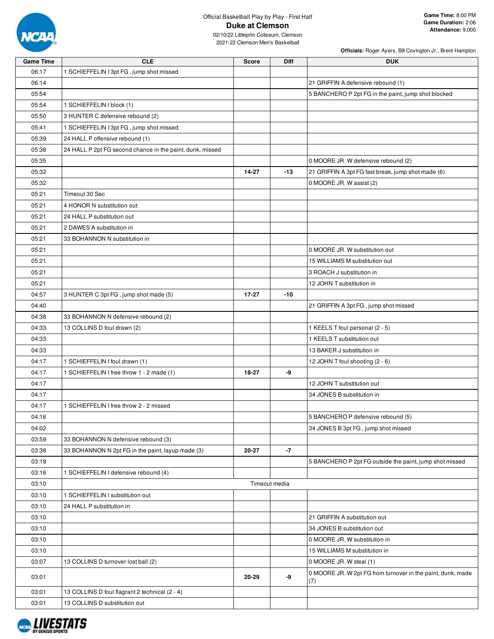

**Officials:** Roger Ayers, Bill Covington Jr., Brent Hampton

| <b>Game Time</b> | <b>CLE</b>                                                | <b>Score</b> | Diff          | <b>DUK</b>                                                         |
|------------------|-----------------------------------------------------------|--------------|---------------|--------------------------------------------------------------------|
| 06:17            | 1 SCHIEFFELIN I 3pt FG, jump shot missed                  |              |               |                                                                    |
| 06:14            |                                                           |              |               | 21 GRIFFIN A defensive rebound (1)                                 |
| 05:54            |                                                           |              |               | 5 BANCHERO P 2pt FG in the paint, jump shot blocked                |
| 05:54            | 1 SCHIEFFELIN I block (1)                                 |              |               |                                                                    |
| 05:50            | 3 HUNTER C defensive rebound (2)                          |              |               |                                                                    |
| 05:41            | 1 SCHIEFFELIN I 3pt FG, jump shot missed                  |              |               |                                                                    |
| 05:39            | 24 HALL P offensive rebound (1)                           |              |               |                                                                    |
| 05:38            | 24 HALL P 2pt FG second chance in the paint, dunk, missed |              |               |                                                                    |
| 05:35            |                                                           |              |               | 0 MOORE JR. W defensive rebound (2)                                |
| 05:32            |                                                           | 14-27        | $-13$         | 21 GRIFFIN A 3pt FG fast break, jump shot made (6)                 |
| 05:32            |                                                           |              |               | 0 MOORE JR. W assist (2)                                           |
| 05:21            | Timeout 30 Sec                                            |              |               |                                                                    |
| 05:21            | 4 HONOR N substitution out                                |              |               |                                                                    |
| 05:21            | 24 HALL P substitution out                                |              |               |                                                                    |
| 05:21            | 2 DAWES A substitution in                                 |              |               |                                                                    |
| 05:21            | 33 BOHANNON N substitution in                             |              |               |                                                                    |
| 05:21            |                                                           |              |               | 0 MOORE JR. W substitution out                                     |
| 05:21            |                                                           |              |               | 15 WILLIAMS M substitution out                                     |
| 05:21            |                                                           |              |               | 3 ROACH J substitution in                                          |
| 05:21            |                                                           |              |               | 12 JOHN T substitution in                                          |
| 04:57            | 3 HUNTER C 3pt FG, jump shot made (5)                     | $17 - 27$    | $-10$         |                                                                    |
| 04:40            |                                                           |              |               | 21 GRIFFIN A 3pt FG, jump shot missed                              |
| 04:38            | 33 BOHANNON N defensive rebound (2)                       |              |               |                                                                    |
| 04:33            | 13 COLLINS D foul drawn (2)                               |              |               | 1 KEELS T foul personal (2 - 5)                                    |
| 04:33            |                                                           |              |               | 1 KEELS T substitution out                                         |
| 04:33            |                                                           |              |               | 13 BAKER J substitution in                                         |
| 04:17            | 1 SCHIEFFELIN I foul drawn (1)                            |              |               | 12 JOHN T foul shooting (2 - 6)                                    |
| 04:17            | 1 SCHIEFFELIN I free throw 1 - 2 made (1)                 | 18-27        | -9            |                                                                    |
| 04:17            |                                                           |              |               | 12 JOHN T substitution out                                         |
| 04:17            |                                                           |              |               | 34 JONES B substitution in                                         |
| 04:17            | 1 SCHIEFFELIN I free throw 2 - 2 missed                   |              |               |                                                                    |
| 04:16            |                                                           |              |               | 5 BANCHERO P defensive rebound (5)                                 |
| 04:02            |                                                           |              |               | 34 JONES B 3pt FG, jump shot missed                                |
| 03:59            | 33 BOHANNON N defensive rebound (3)                       |              |               |                                                                    |
| 03:38            | 33 BOHANNON N 2pt FG in the paint, layup made (3)         | 20-27        | $-7$          |                                                                    |
| 03:18            |                                                           |              |               | 5 BANCHERO P 2pt FG outside the paint, jump shot missed            |
| 03:16            | 1 SCHIEFFELIN I defensive rebound (4)                     |              |               |                                                                    |
| 03:10            |                                                           |              | Timeout media |                                                                    |
| 03:10            | 1 SCHIEFFELIN I substitution out                          |              |               |                                                                    |
| 03:10            | 24 HALL P substitution in                                 |              |               |                                                                    |
| 03:10            |                                                           |              |               | 21 GRIFFIN A substitution out                                      |
| 03:10            |                                                           |              |               | 34 JONES B substitution out                                        |
| 03:10            |                                                           |              |               | 0 MOORE JR. W substitution in                                      |
| 03:10            |                                                           |              |               | 15 WILLIAMS M substitution in                                      |
| 03:07            |                                                           |              |               | 0 MOORE JR. W steal (1)                                            |
|                  | 13 COLLINS D turnover lost ball (2)                       |              |               |                                                                    |
| 03:01            |                                                           | 20-29        | -9            | 0 MOORE JR. W 2pt FG from turnover in the paint, dunk, made<br>(7) |
| 03:01            | 13 COLLINS D foul flagrant 2 technical (2 - 4)            |              |               |                                                                    |
| 03:01            | 13 COLLINS D substitution out                             |              |               |                                                                    |

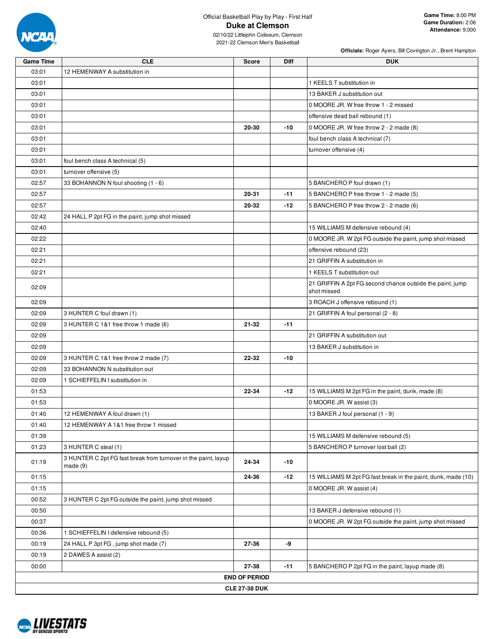

02/10/22 Littlejohn Coliseum, Clemson 2021-22 Clemson Men's Basketball

**Officials:** Roger Ayers, Bill Covington Jr., Brent Hampton

| <b>Game Time</b> | <b>CLE</b>                                                                | <b>Score</b>         | <b>Diff</b> | <b>DUK</b>                                                               |
|------------------|---------------------------------------------------------------------------|----------------------|-------------|--------------------------------------------------------------------------|
| 03:01            | 12 HEMENWAY A substitution in                                             |                      |             |                                                                          |
| 03:01            |                                                                           |                      |             | 1 KEELS T substitution in                                                |
| 03:01            |                                                                           |                      |             | 13 BAKER J substitution out                                              |
| 03:01            |                                                                           |                      |             | 0 MOORE JR. W free throw 1 - 2 missed                                    |
| 03:01            |                                                                           |                      |             | offensive dead ball rebound (1)                                          |
| 03:01            |                                                                           | 20-30                | $-10$       | 0 MOORE JR. W free throw 2 - 2 made (8)                                  |
| 03:01            |                                                                           |                      |             | foul bench class A technical (7)                                         |
| 03:01            |                                                                           |                      |             | turnover offensive (4)                                                   |
| 03:01            | foul bench class A technical (5)                                          |                      |             |                                                                          |
| 03:01            | turnover offensive (5)                                                    |                      |             |                                                                          |
| 02:57            | 33 BOHANNON N foul shooting (1 - 6)                                       |                      |             | 5 BANCHERO P foul drawn (1)                                              |
| 02:57            |                                                                           | 20-31                | $-11$       | 5 BANCHERO P free throw 1 - 2 made (5)                                   |
| 02:57            |                                                                           | 20-32                | $-12$       | 5 BANCHERO P free throw 2 - 2 made (6)                                   |
| 02:42            | 24 HALL P 2pt FG in the paint, jump shot missed                           |                      |             |                                                                          |
| 02:40            |                                                                           |                      |             | 15 WILLIAMS M defensive rebound (4)                                      |
| 02:22            |                                                                           |                      |             | 0 MOORE JR. W 2pt FG outside the paint, jump shot missed                 |
| 02:21            |                                                                           |                      |             | offensive rebound (23)                                                   |
| 02:21            |                                                                           |                      |             | 21 GRIFFIN A substitution in                                             |
| 02:21            |                                                                           |                      |             | 1 KEELS T substitution out                                               |
| 02:09            |                                                                           |                      |             | 21 GRIFFIN A 2pt FG second chance outside the paint, jump<br>shot missed |
| 02:09            |                                                                           |                      |             | 3 ROACH J offensive rebound (1)                                          |
| 02:09            | 3 HUNTER C foul drawn (1)                                                 |                      |             | 21 GRIFFIN A foul personal (2 - 8)                                       |
| 02:09            | 3 HUNTER C 1&1 free throw 1 made (6)                                      | 21-32                | $-11$       |                                                                          |
| 02:09            |                                                                           |                      |             | 21 GRIFFIN A substitution out                                            |
| 02:09            |                                                                           |                      |             | 13 BAKER J substitution in                                               |
| 02:09            | 3 HUNTER C 1&1 free throw 2 made (7)                                      | $22 - 32$            | $-10$       |                                                                          |
| 02:09            | 33 BOHANNON N substitution out                                            |                      |             |                                                                          |
| 02:09            | 1 SCHIEFFELIN I substitution in                                           |                      |             |                                                                          |
| 01:53            |                                                                           | 22-34                | $-12$       | 15 WILLIAMS M 2pt FG in the paint, dunk, made (8)                        |
| 01:53            |                                                                           |                      |             | 0 MOORE JR. W assist (3)                                                 |
| 01:40            | 12 HEMENWAY A foul drawn (1)                                              |                      |             | 13 BAKER J foul personal (1 - 9)                                         |
| 01:40            | 12 HEMENWAY A 1&1 free throw 1 missed                                     |                      |             |                                                                          |
| 01:39            |                                                                           |                      |             | 15 WILLIAMS M defensive rebound (5)                                      |
| 01:23            | 3 HUNTER C steal (1)                                                      |                      |             | 5 BANCHERO P turnover lost ball (2)                                      |
| 01:19            | 3 HUNTER C 2pt FG fast break from turnover in the paint, layup<br>made(9) | 24-34                | $-10$       |                                                                          |
| 01:15            |                                                                           | 24-36                | $-12$       | 15 WILLIAMS M 2pt FG fast break in the paint, dunk, made (10)            |
| 01:15            |                                                                           |                      |             | 0 MOORE JR. W assist (4)                                                 |
| 00:52            | 3 HUNTER C 2pt FG outside the paint, jump shot missed                     |                      |             |                                                                          |
| 00:50            |                                                                           |                      |             | 13 BAKER J defensive rebound (1)                                         |
| 00:37            |                                                                           |                      |             | 0 MOORE JR. W 2pt FG outside the paint, jump shot missed                 |
| 00:36            | 1 SCHIEFFELIN I defensive rebound (5)                                     |                      |             |                                                                          |
| 00:19            | 24 HALL P 3pt FG, jump shot made (7)                                      | 27-36                | -9          |                                                                          |
| 00:19            | 2 DAWES A assist (2)                                                      |                      |             |                                                                          |
| 00:00            |                                                                           | 27-38                | $-11$       | 5 BANCHERO P 2pt FG in the paint, layup made (8)                         |
|                  |                                                                           | <b>END OF PERIOD</b> |             |                                                                          |
|                  |                                                                           | <b>CLE 27-38 DUK</b> |             |                                                                          |

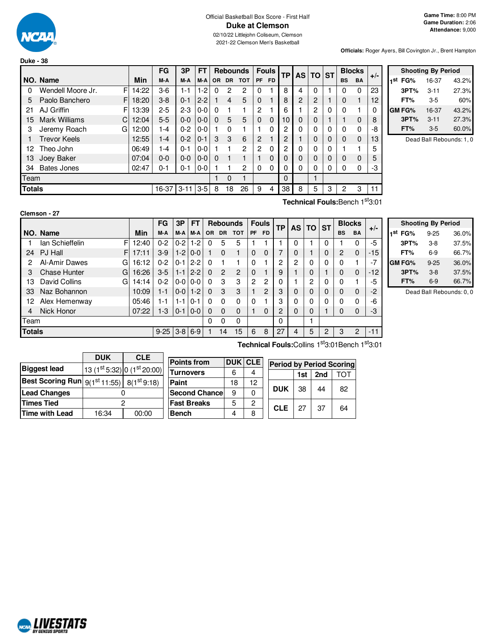

#### Official Basketball Box Score - First Half **Duke at Clemson** 02/10/22 Littlejohn Coliseum, Clemson

2021-22 Clemson Men's Basketball

**Officials:** Roger Ayers, Bill Covington Jr., Brent Hampton

|               |                           |            | FG      | 3P       | FT      |          |           | <b>Rebounds</b> |                | <b>Fouls</b> | ТP |   | AS TO ST       |   |           | <b>Blocks</b> | $+/-$ |
|---------------|---------------------------|------------|---------|----------|---------|----------|-----------|-----------------|----------------|--------------|----|---|----------------|---|-----------|---------------|-------|
|               | NO. Name                  | <b>Min</b> | M-A     | M-A      | M-A     | OR.      | <b>DR</b> | <b>TOT</b>      | <b>PF</b>      | <b>FD</b>    |    |   |                |   | <b>BS</b> | <b>BA</b>     |       |
| 0             | Wendell Moore Jr.<br>F    | 14:22      | $3-6$   | 1-1      | $1-2$   | 0        | 2         | 2               | 0              |              | 8  | 4 | 0              |   | 0         | 0             | 23    |
| 5             | F<br>Paolo Banchero       | 18:20      | $3 - 8$ | $0 - 1$  | $2 - 2$ |          | 4         | 5               | $\Omega$       |              | 8  | 2 | $\overline{c}$ |   | 0         |               | 12    |
| 21            | AJ Griffin<br>F           | 13:39      | $2 - 5$ | $2 - 3$  | $0 - 0$ | 0        |           | 1               | $\overline{2}$ |              | 6  |   | 2              | 0 | 0         |               |       |
| 15            | <b>Mark Williams</b><br>C | 12:04      | $5 - 5$ | $0 - 0$  | $0 - 0$ | $\Omega$ | 5         | 5               | $\Omega$       | $\Omega$     | 10 | 0 | 0              |   |           | $\Omega$      | 8     |
| 3             | Jeremy Roach<br>G         | 12:00      | 1-4     | $0 - 2$  | $0 - 0$ |          | 0         |                 |                | $\Omega$     | 2  | 0 | $\Omega$       | 0 | 0         | $\Omega$      | -8    |
|               | <b>Trevor Keels</b>       | 12:55      | $1 - 4$ | $0 - 2$  | $0 - 1$ | 3        | 3         | 6               | 2              |              | 2  |   | $\Omega$       | 0 | $\Omega$  | $\mathbf 0$   | 13    |
| 12            | Theo John                 | 06:49      | 1-4     | $0 - 1$  | $0 - 0$ |          |           | $\overline{2}$  | 2              | $\Omega$     | 2  | 0 | 0              | 0 |           |               | 5     |
| 13            | Joey Baker                | 07:04      | $0 - 0$ | $0-0$    | $0 - 0$ | 0        |           |                 |                | $\Omega$     | 0  | 0 | $\Omega$       | 0 | 0         | $\Omega$      | 5     |
| 34            | <b>Bates Jones</b>        | 02:47      | $0 - 1$ | $0 - 1$  | $0-0$   |          |           | $\overline{2}$  | $\Omega$       | 0            | 0  | 0 | 0              | 0 | 0         | 0             | -3    |
| Team          |                           |            |         |          |         |          | 0         |                 |                |              | 0  |   |                |   |           |               |       |
| <b>Totals</b> |                           |            | 16-37   | $3 - 11$ | $3 - 5$ | 8        | 18        | 26              | 9              | 4            | 38 | 8 | 5              | 3 | 2         | 3             | 11    |

|     |               | <b>Shooting By Period</b> |       |
|-----|---------------|---------------------------|-------|
| 1st | FG%           | 16-37                     | 43.2% |
|     | 3PT%          | $3 - 11$                  | 27.3% |
|     | FT%           | $3-5$                     | 60%   |
|     | <b>GM FG%</b> | 16-37                     | 43.2% |
|     | 3PT%          | $3 - 11$                  | 27.3% |
|     | FT%           | $3-5$                     | 60.0% |

Dead Ball Rebounds: 1, 0

**Technical Fouls:**Bench 1 st3:01

|               | Clemson - 27             |       |           |          |         |           |                 |                |                |                         |    |    |         |   |               |           |       |
|---------------|--------------------------|-------|-----------|----------|---------|-----------|-----------------|----------------|----------------|-------------------------|----|----|---------|---|---------------|-----------|-------|
|               |                          |       | <b>FG</b> | 3P<br>FТ |         |           | <b>Rebounds</b> |                |                | <b>Fouls</b>            |    | AS | $TO$ ST |   | <b>Blocks</b> |           | $+/-$ |
|               | NO. Name                 | Min   | M-A       | M-A      | M-A     | <b>OR</b> | <b>DR</b>       | тот            | <b>PF</b>      | FD.                     | ТP |    |         |   | <b>BS</b>     | <b>BA</b> |       |
|               | F<br>Ian Schieffelin     | 12:40 | $0 - 2$   | $0 - 2$  | $1-2$   | 0         | 5               | 5              |                |                         |    | 0  |         | 0 |               |           | $-5$  |
| 24            | PJ Hall<br>F.            | 17:11 | $3-9$     | $1-2$    | $0-0$   |           | $\Omega$        |                | $\Omega$       | 0                       |    | 0  |         | 0 | 2             | $\Omega$  | $-15$ |
| 2             | Al-Amir Dawes<br>G       | 16:12 | $0 - 2$   | $0 - 1$  | $2 - 2$ | $\Omega$  |                 |                | $\Omega$       |                         | 2  | 2  | 0       | 0 | 0             |           | $-7$  |
| 3             | <b>Chase Hunter</b><br>G | 16:26 | $3-5$     | $1 - 1$  | $2 - 2$ | $\Omega$  | $\overline{2}$  | $\overline{2}$ | 0              | $\overline{\mathbf{1}}$ | 9  |    | 0       |   | 0             | $\Omega$  | $-12$ |
| 13            | David Collins<br>G       | 14:14 | $0 - 2$   | $0 - 0$  | $0 - 0$ | 0         | 3               | 3              | $\overline{2}$ | 2                       | 0  |    | 2       | 0 | 0             |           | -5    |
| 33            | Naz Bohannon             | 10:09 | $1 - 1$   | $0-0$    | $1-2$   | $\Omega$  | 3               | 3              |                | $\overline{2}$          | 3  | 0  | 0       | 0 | 0             | $\Omega$  | $-2$  |
| 12            | Alex Hemenway            | 05:46 | 1-1       | $1 - 1$  | $0 - 1$ | 0         | 0               | 0              | 0              |                         | 3  | 0  | 0       | 0 | 0             | 0         | -6    |
| 4             | Nick Honor               | 07:22 | 1-3       | 0-1      | $0-0$   | $\Omega$  | <sup>0</sup>    | $\Omega$       |                | $\Omega$                | 2  | 0  | 0       |   | 0             | $\Omega$  | -3    |
| Team          |                          |       |           |          |         | 0         | $\Omega$        | 0              |                |                         | 0  |    |         |   |               |           |       |
| <b>Totals</b> |                          |       | $9 - 25$  | $3-8$    | $6 - 9$ |           | 14              | 15             | 6              | 8                       | 27 | 4  | 5       | 2 | 3             | 2         | $-11$ |

|               | <b>Shooting By Period</b> |       |
|---------------|---------------------------|-------|
| 1st FG%       | $9 - 25$                  | 36.0% |
| 3PT%          | $3-8$                     | 37.5% |
| FT%           | $6-9$                     | 66.7% |
| <b>GM FG%</b> | $9 - 25$                  | 36.0% |
| 3PT%          | $3 - 8$                   | 37.5% |
| FT%           | $6-9$                     | 66.7% |

Dead Ball Rebounds: 0, 0

|                                                                  | <b>DUK</b> | <b>CLE</b> |                      |    |         |                                 |     |     |    |
|------------------------------------------------------------------|------------|------------|----------------------|----|---------|---------------------------------|-----|-----|----|
|                                                                  |            |            | <b>Points from</b>   |    | DUK CLE | <b>Period by Period Scoring</b> |     |     |    |
| <b>Biggest lead</b><br>$ 13 (1st 5:32) 0 (1st 20:00) $ Turnovers |            |            | 6                    | 4  |         | 1st                             | 2nd | тот |    |
| <b>Best Scoring Run</b> $9(1^{st}11:55)$   $8(1^{st}9:18)$       |            |            | Paint                | 18 | 12      |                                 |     |     |    |
| <b>Lead Changes</b>                                              |            |            | <b>Second Chance</b> | 9  |         | <b>DUK</b>                      | 38  | 44  | 82 |
| <b>Times Tied</b>                                                |            |            | <b>Fast Breaks</b>   | 5  | 0       | <b>CLE</b>                      | 27  | 37  | 64 |
| Time with Lead                                                   | 16:34      | 00:00      | <b>Bench</b>         | 4  | 8       |                                 |     |     |    |

**Technical Fouls:**Collins 1<sup>st</sup>3:01Bench 1<sup>st</sup>3:01

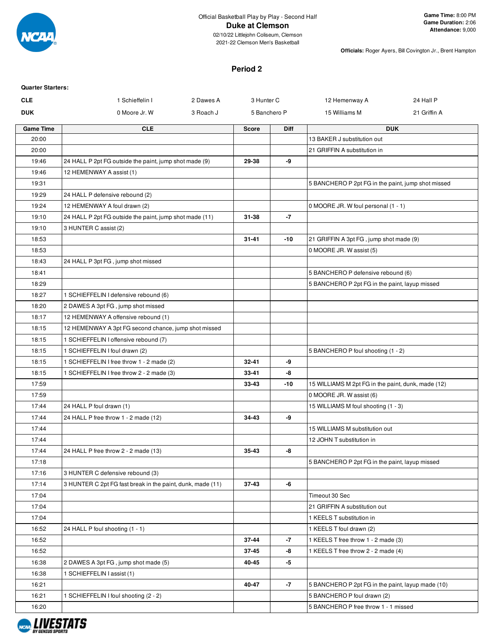

2021-22 Clemson Men's Basketball

**Officials:** Roger Ayers, Bill Covington Jr., Brent Hampton

#### **Period 2**

| <b>Quarter Starters:</b> |                                                            |           |              |             |                                                    |              |
|--------------------------|------------------------------------------------------------|-----------|--------------|-------------|----------------------------------------------------|--------------|
| <b>CLE</b>               | 1 Schieffelin I                                            | 2 Dawes A | 3 Hunter C   |             | 12 Hemenway A                                      | 24 Hall P    |
| <b>DUK</b>               | 0 Moore Jr. W                                              | 3 Roach J | 5 Banchero P |             | 15 Williams M                                      | 21 Griffin A |
| <b>Game Time</b>         | <b>CLE</b>                                                 |           | <b>Score</b> | <b>Diff</b> |                                                    | <b>DUK</b>   |
| 20:00                    |                                                            |           |              |             | 13 BAKER J substitution out                        |              |
| 20:00                    |                                                            |           |              |             | 21 GRIFFIN A substitution in                       |              |
| 19:46                    | 24 HALL P 2pt FG outside the paint, jump shot made (9)     |           | 29-38        | -9          |                                                    |              |
| 19:46                    | 12 HEMENWAY A assist (1)                                   |           |              |             |                                                    |              |
| 19:31                    |                                                            |           |              |             | 5 BANCHERO P 2pt FG in the paint, jump shot missed |              |
| 19:29                    | 24 HALL P defensive rebound (2)                            |           |              |             |                                                    |              |
| 19:24                    | 12 HEMENWAY A foul drawn (2)                               |           |              |             | 0 MOORE JR. W foul personal (1 - 1)                |              |
| 19:10                    | 24 HALL P 2pt FG outside the paint, jump shot made (11)    |           | 31-38        | -7          |                                                    |              |
| 19:10                    | 3 HUNTER C assist (2)                                      |           |              |             |                                                    |              |
| 18:53                    |                                                            |           | 31-41        | -10         | 21 GRIFFIN A 3pt FG, jump shot made (9)            |              |
| 18:53                    |                                                            |           |              |             | 0 MOORE JR. W assist (5)                           |              |
| 18:43                    | 24 HALL P 3pt FG, jump shot missed                         |           |              |             |                                                    |              |
| 18:41                    |                                                            |           |              |             | 5 BANCHERO P defensive rebound (6)                 |              |
| 18:29                    |                                                            |           |              |             | 5 BANCHERO P 2pt FG in the paint, layup missed     |              |
| 18:27                    | 1 SCHIEFFELIN I defensive rebound (6)                      |           |              |             |                                                    |              |
| 18:20                    | 2 DAWES A 3pt FG, jump shot missed                         |           |              |             |                                                    |              |
| 18:17                    | 12 HEMENWAY A offensive rebound (1)                        |           |              |             |                                                    |              |
| 18:15                    | 12 HEMENWAY A 3pt FG second chance, jump shot missed       |           |              |             |                                                    |              |
| 18:15                    | 1 SCHIEFFELIN I offensive rebound (7)                      |           |              |             |                                                    |              |
| 18:15                    | 1 SCHIEFFELIN I foul drawn (2)                             |           |              |             | 5 BANCHERO P foul shooting (1 - 2)                 |              |
| 18:15                    | 1 SCHIEFFELIN I free throw 1 - 2 made (2)                  |           | 32-41        | -9          |                                                    |              |
| 18:15                    | 1 SCHIEFFELIN I free throw 2 - 2 made (3)                  |           | 33-41        | -8          |                                                    |              |
| 17:59                    |                                                            |           | 33-43        | -10         | 15 WILLIAMS M 2pt FG in the paint, dunk, made (12) |              |
| 17:59                    |                                                            |           |              |             | 0 MOORE JR. W assist (6)                           |              |
| 17:44                    | 24 HALL P foul drawn (1)                                   |           |              |             | 15 WILLIAMS M foul shooting (1 - 3)                |              |
| 17:44                    | 24 HALL P free throw 1 - 2 made (12)                       |           | 34-43        | -9          |                                                    |              |
| 17:44                    |                                                            |           |              |             | 15 WILLIAMS M substitution out                     |              |
| 17:44                    |                                                            |           |              |             | 12 JOHN T substitution in                          |              |
| 17:44                    | 24 HALL P free throw 2 - 2 made (13)                       |           | 35-43        | -8          |                                                    |              |
| 17:18                    |                                                            |           |              |             | 5 BANCHERO P 2pt FG in the paint, layup missed     |              |
| 17:16                    | 3 HUNTER C defensive rebound (3)                           |           |              |             |                                                    |              |
| 17:14                    | 3 HUNTER C 2pt FG fast break in the paint, dunk, made (11) |           | 37-43        | -6          |                                                    |              |
| 17:04                    |                                                            |           |              |             | Timeout 30 Sec                                     |              |
| 17:04                    |                                                            |           |              |             | 21 GRIFFIN A substitution out                      |              |
| 17:04                    |                                                            |           |              |             | 1 KEELS T substitution in                          |              |
| 16:52                    | 24 HALL P foul shooting (1 - 1)                            |           |              |             | 1 KEELS T foul drawn (2)                           |              |
| 16:52                    |                                                            |           | 37-44        | -7          | 1 KEELS T free throw 1 - 2 made (3)                |              |
| 16:52                    |                                                            |           | 37-45        | -8          | 1 KEELS T free throw 2 - 2 made (4)                |              |
| 16:38                    | 2 DAWES A 3pt FG, jump shot made (5)                       |           | 40-45        | -5          |                                                    |              |
| 16:38                    | 1 SCHIEFFELIN I assist (1)                                 |           |              |             |                                                    |              |
| 16:21                    |                                                            |           | 40-47        | $-7$        | 5 BANCHERO P 2pt FG in the paint, layup made (10)  |              |
| 16:21                    | 1 SCHIEFFELIN I foul shooting (2 - 2)                      |           |              |             | 5 BANCHERO P foul drawn (2)                        |              |
| 16:20                    |                                                            |           |              |             | 5 BANCHERO P free throw 1 - 1 missed               |              |

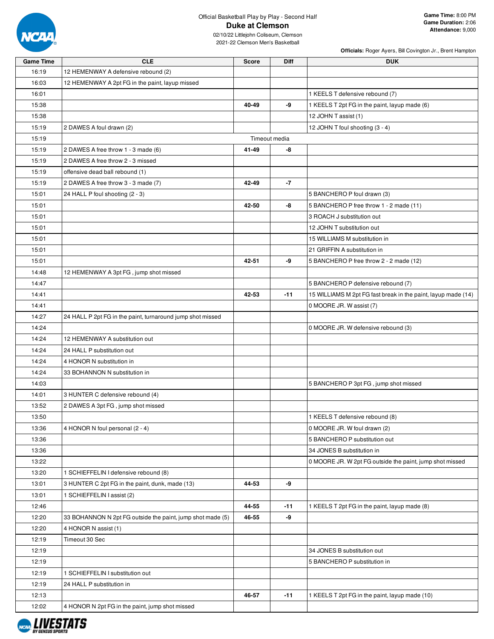

|                  |                                                            |              |               | <b>Officials: Roger Ayers, Bill Covington Jr., Brent Hampton</b> |
|------------------|------------------------------------------------------------|--------------|---------------|------------------------------------------------------------------|
| <b>Game Time</b> | <b>CLE</b>                                                 | <b>Score</b> | Diff          | <b>DUK</b>                                                       |
| 16:19            | 12 HEMENWAY A defensive rebound (2)                        |              |               |                                                                  |
| 16:03            | 12 HEMENWAY A 2pt FG in the paint, layup missed            |              |               |                                                                  |
| 16:01            |                                                            |              |               | 1 KEELS T defensive rebound (7)                                  |
| 15:38            |                                                            | 40-49        | -9            | 1 KEELS T 2pt FG in the paint, layup made (6)                    |
| 15:38            |                                                            |              |               | 12 JOHN T assist (1)                                             |
| 15:19            | 2 DAWES A foul drawn (2)                                   |              |               | 12 JOHN T foul shooting (3 - 4)                                  |
| 15:19            |                                                            |              | Timeout media |                                                                  |
| 15:19            | 2 DAWES A free throw 1 - 3 made (6)                        | 41-49        | -8            |                                                                  |
| 15:19            | 2 DAWES A free throw 2 - 3 missed                          |              |               |                                                                  |
| 15:19            | offensive dead ball rebound (1)                            |              |               |                                                                  |
| 15:19            | 2 DAWES A free throw 3 - 3 made (7)                        | 42-49        | -7            |                                                                  |
| 15:01            | 24 HALL P foul shooting (2 - 3)                            |              |               | 5 BANCHERO P foul drawn (3)                                      |
| 15:01            |                                                            | 42-50        | -8            | 5 BANCHERO P free throw 1 - 2 made (11)                          |
| 15:01            |                                                            |              |               | 3 ROACH J substitution out                                       |
| 15:01            |                                                            |              |               | 12 JOHN T substitution out                                       |
| 15:01            |                                                            |              |               | 15 WILLIAMS M substitution in                                    |
| 15:01            |                                                            |              |               | 21 GRIFFIN A substitution in                                     |
| 15:01            |                                                            | 42-51        | -9            | 5 BANCHERO P free throw 2 - 2 made (12)                          |
| 14:48            | 12 HEMENWAY A 3pt FG, jump shot missed                     |              |               |                                                                  |
| 14:47            |                                                            |              |               | 5 BANCHERO P defensive rebound (7)                               |
| 14:41            |                                                            | 42-53        | $-11$         | 15 WILLIAMS M 2pt FG fast break in the paint, layup made (14)    |
| 14:41            |                                                            |              |               | 0 MOORE JR. W assist (7)                                         |
| 14:27            | 24 HALL P 2pt FG in the paint, turnaround jump shot missed |              |               |                                                                  |
| 14:24            |                                                            |              |               | 0 MOORE JR. W defensive rebound (3)                              |
| 14:24            | 12 HEMENWAY A substitution out                             |              |               |                                                                  |
| 14:24            | 24 HALL P substitution out                                 |              |               |                                                                  |
| 14:24            | 4 HONOR N substitution in                                  |              |               |                                                                  |
| 14:24            | 33 BOHANNON N substitution in                              |              |               |                                                                  |
| 14:03            |                                                            |              |               | 5 BANCHERO P 3pt FG, jump shot missed                            |
| 14:01            | 3 HUNTER C defensive rebound (4)                           |              |               |                                                                  |
| 13:52            | 2 DAWES A 3pt FG, jump shot missed                         |              |               |                                                                  |
| 13:50            |                                                            |              |               | 1 KEELS T defensive rebound (8)                                  |
| 13:36            | 4 HONOR N foul personal (2 - 4)                            |              |               | 0 MOORE JR. W foul drawn (2)                                     |
| 13:36            |                                                            |              |               | 5 BANCHERO P substitution out                                    |
| 13:36            |                                                            |              |               | 34 JONES B substitution in                                       |
| 13:22            |                                                            |              |               | 0 MOORE JR. W 2pt FG outside the paint, jump shot missed         |
| 13:20            | 1 SCHIEFFELIN I defensive rebound (8)                      |              |               |                                                                  |
| 13:01            | 3 HUNTER C 2pt FG in the paint, dunk, made (13)            | 44-53        | -9            |                                                                  |
| 13:01            | 1 SCHIEFFELIN I assist (2)                                 |              |               |                                                                  |
| 12:46            |                                                            | 44-55        | -11           | 1 KEELS T 2pt FG in the paint, layup made (8)                    |
| 12:20            | 33 BOHANNON N 2pt FG outside the paint, jump shot made (5) | 46-55        | -9            |                                                                  |
| 12:20            | 4 HONOR N assist (1)                                       |              |               |                                                                  |
| 12:19            | Timeout 30 Sec                                             |              |               |                                                                  |
| 12:19            |                                                            |              |               | 34 JONES B substitution out                                      |
| 12:19            |                                                            |              |               | 5 BANCHERO P substitution in                                     |
| 12:19            | 1 SCHIEFFELIN I substitution out                           |              |               |                                                                  |
| 12:19            | 24 HALL P substitution in                                  |              |               |                                                                  |
| 12:13            |                                                            | 46-57        | -11           | 1 KEELS T 2pt FG in the paint, layup made (10)                   |
| 12:02            | 4 HONOR N 2pt FG in the paint, jump shot missed            |              |               |                                                                  |

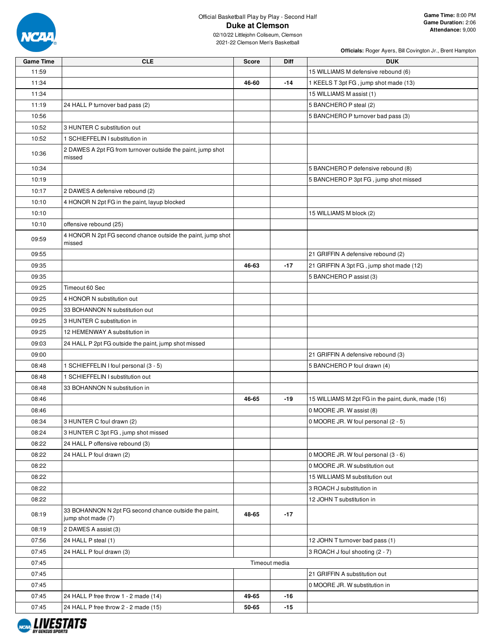

|                  |                                                                             |              |               | Officials: Roger Ayers, Bill Covington Jr., Brent Hampton |
|------------------|-----------------------------------------------------------------------------|--------------|---------------|-----------------------------------------------------------|
| <b>Game Time</b> | <b>CLE</b>                                                                  | <b>Score</b> | <b>Diff</b>   | <b>DUK</b>                                                |
| 11:59            |                                                                             |              |               | 15 WILLIAMS M defensive rebound (6)                       |
| 11:34            |                                                                             | 46-60        | $-14$         | 1 KEELS T 3pt FG, jump shot made (13)                     |
| 11:34            |                                                                             |              |               | 15 WILLIAMS M assist (1)                                  |
| 11:19            | 24 HALL P turnover bad pass (2)                                             |              |               | 5 BANCHERO P steal (2)                                    |
| 10:56            |                                                                             |              |               | 5 BANCHERO P turnover bad pass (3)                        |
| 10:52            | 3 HUNTER C substitution out                                                 |              |               |                                                           |
| 10:52            | 1 SCHIEFFELIN I substitution in                                             |              |               |                                                           |
| 10:36            | 2 DAWES A 2pt FG from turnover outside the paint, jump shot<br>missed       |              |               |                                                           |
| 10:34            |                                                                             |              |               | 5 BANCHERO P defensive rebound (8)                        |
| 10:19            |                                                                             |              |               | 5 BANCHERO P 3pt FG, jump shot missed                     |
| 10:17            | 2 DAWES A defensive rebound (2)                                             |              |               |                                                           |
| 10:10            | 4 HONOR N 2pt FG in the paint, layup blocked                                |              |               |                                                           |
| 10:10            |                                                                             |              |               | 15 WILLIAMS M block (2)                                   |
| 10:10            | offensive rebound (25)                                                      |              |               |                                                           |
| 09:59            | 4 HONOR N 2pt FG second chance outside the paint, jump shot<br>missed       |              |               |                                                           |
| 09:55            |                                                                             |              |               | 21 GRIFFIN A defensive rebound (2)                        |
| 09:35            |                                                                             | 46-63        | $-17$         | 21 GRIFFIN A 3pt FG, jump shot made (12)                  |
| 09:35            |                                                                             |              |               | 5 BANCHERO P assist (3)                                   |
| 09:25            | Timeout 60 Sec                                                              |              |               |                                                           |
|                  |                                                                             |              |               |                                                           |
| 09:25            | 4 HONOR N substitution out                                                  |              |               |                                                           |
| 09:25            | 33 BOHANNON N substitution out                                              |              |               |                                                           |
| 09:25            | 3 HUNTER C substitution in                                                  |              |               |                                                           |
| 09:25            | 12 HEMENWAY A substitution in                                               |              |               |                                                           |
| 09:03            | 24 HALL P 2pt FG outside the paint, jump shot missed                        |              |               |                                                           |
| 09:00            |                                                                             |              |               | 21 GRIFFIN A defensive rebound (3)                        |
| 08:48            | 1 SCHIEFFELIN I foul personal (3 - 5)                                       |              |               | 5 BANCHERO P foul drawn (4)                               |
| 08:48            | 1 SCHIEFFELIN I substitution out                                            |              |               |                                                           |
| 08:48            | 33 BOHANNON N substitution in                                               |              |               |                                                           |
| 08:46            |                                                                             | 46-65        | $-19$         | 15 WILLIAMS M 2pt FG in the paint, dunk, made (16)        |
| 08:46            |                                                                             |              |               | 0 MOORE JR. W assist (8)                                  |
| 08:34            | 3 HUNTER C foul drawn (2)                                                   |              |               | 0 MOORE JR. W foul personal (2 - 5)                       |
| 08:24            | 3 HUNTER C 3pt FG, jump shot missed                                         |              |               |                                                           |
| 08:22            | 24 HALL P offensive rebound (3)                                             |              |               |                                                           |
| 08:22            | 24 HALL P foul drawn (2)                                                    |              |               | 0 MOORE JR. W foul personal (3 - 6)                       |
| 08:22            |                                                                             |              |               | 0 MOORE JR. W substitution out                            |
| 08:22            |                                                                             |              |               | 15 WILLIAMS M substitution out                            |
| 08:22            |                                                                             |              |               | 3 ROACH J substitution in                                 |
| 08:22            |                                                                             |              |               | 12 JOHN T substitution in                                 |
| 08:19            | 33 BOHANNON N 2pt FG second chance outside the paint,<br>jump shot made (7) | 48-65        | $-17$         |                                                           |
| 08:19            | 2 DAWES A assist (3)                                                        |              |               |                                                           |
| 07:56            | 24 HALL P steal (1)                                                         |              |               | 12 JOHN T turnover bad pass (1)                           |
| 07:45            | 24 HALL P foul drawn (3)                                                    |              |               | 3 ROACH J foul shooting (2 - 7)                           |
| 07:45            |                                                                             |              | Timeout media |                                                           |
| 07:45            |                                                                             |              |               | 21 GRIFFIN A substitution out                             |
| 07:45            |                                                                             |              |               | 0 MOORE JR. W substitution in                             |
| 07:45            | 24 HALL P free throw 1 - 2 made (14)                                        | 49-65        | $-16$         |                                                           |
| 07:45            | 24 HALL P free throw 2 - 2 made (15)                                        | 50-65        | $-15$         |                                                           |
|                  |                                                                             |              |               |                                                           |

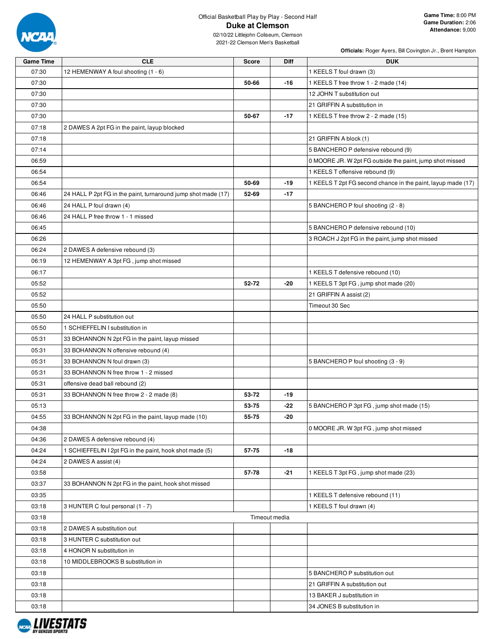

|                  |                                                               |              |               | Officials: Roger Ayers, Bill Covington Jr., Brent Hampton    |
|------------------|---------------------------------------------------------------|--------------|---------------|--------------------------------------------------------------|
| <b>Game Time</b> | <b>CLE</b>                                                    | <b>Score</b> | Diff          | <b>DUK</b>                                                   |
| 07:30            | 12 HEMENWAY A foul shooting (1 - 6)                           |              |               | 1 KEELS T foul drawn (3)                                     |
| 07:30            |                                                               | 50-66        | $-16$         | 1 KEELS T free throw 1 - 2 made (14)                         |
| 07:30            |                                                               |              |               | 12 JOHN T substitution out                                   |
| 07:30            |                                                               |              |               | 21 GRIFFIN A substitution in                                 |
| 07:30            |                                                               | 50-67        | $-17$         | 1 KEELS T free throw 2 - 2 made (15)                         |
| 07:18            | 2 DAWES A 2pt FG in the paint, layup blocked                  |              |               |                                                              |
| 07:18            |                                                               |              |               | 21 GRIFFIN A block (1)                                       |
| 07:14            |                                                               |              |               | 5 BANCHERO P defensive rebound (9)                           |
| 06:59            |                                                               |              |               | 0 MOORE JR. W 2pt FG outside the paint, jump shot missed     |
| 06:54            |                                                               |              |               | 1 KEELS T offensive rebound (9)                              |
| 06:54            |                                                               | 50-69        | -19           | 1 KEELS T 2pt FG second chance in the paint, layup made (17) |
| 06:46            | 24 HALL P 2pt FG in the paint, turnaround jump shot made (17) | 52-69        | $-17$         |                                                              |
| 06:46            | 24 HALL P foul drawn (4)                                      |              |               | 5 BANCHERO P foul shooting (2 - 8)                           |
| 06:46            | 24 HALL P free throw 1 - 1 missed                             |              |               |                                                              |
| 06:45            |                                                               |              |               | 5 BANCHERO P defensive rebound (10)                          |
| 06:26            |                                                               |              |               | 3 ROACH J 2pt FG in the paint, jump shot missed              |
| 06:24            | 2 DAWES A defensive rebound (3)                               |              |               |                                                              |
| 06:19            | 12 HEMENWAY A 3pt FG, jump shot missed                        |              |               |                                                              |
| 06:17            |                                                               |              |               | 1 KEELS T defensive rebound (10)                             |
| 05:52            |                                                               | 52-72        | $-20$         | 1 KEELS T 3pt FG, jump shot made (20)                        |
| 05:52            |                                                               |              |               | 21 GRIFFIN A assist (2)                                      |
| 05:50            |                                                               |              |               | Timeout 30 Sec                                               |
| 05:50            | 24 HALL P substitution out                                    |              |               |                                                              |
|                  |                                                               |              |               |                                                              |
| 05:50            | 1 SCHIEFFELIN I substitution in                               |              |               |                                                              |
| 05:31            | 33 BOHANNON N 2pt FG in the paint, layup missed               |              |               |                                                              |
| 05:31            | 33 BOHANNON N offensive rebound (4)                           |              |               |                                                              |
| 05:31            | 33 BOHANNON N foul drawn (3)                                  |              |               | 5 BANCHERO P foul shooting (3 - 9)                           |
| 05:31            | 33 BOHANNON N free throw 1 - 2 missed                         |              |               |                                                              |
| 05:31            | offensive dead ball rebound (2)                               |              |               |                                                              |
| 05:31            | 33 BOHANNON N free throw 2 - 2 made (8)                       | 53-72        | -19           |                                                              |
| 05:13            |                                                               | 53-75        | $-22$         | 5 BANCHERO P 3pt FG, jump shot made (15)                     |
| 04:55            | 33 BOHANNON N 2pt FG in the paint, layup made (10)            | 55-75        | -20           |                                                              |
| 04:38            |                                                               |              |               | 0 MOORE JR. W 3pt FG, jump shot missed                       |
| 04:36            | 2 DAWES A defensive rebound (4)                               |              |               |                                                              |
| 04:24            | 1 SCHIEFFELIN I 2pt FG in the paint, hook shot made (5)       | 57-75        | -18           |                                                              |
| 04:24            | 2 DAWES A assist (4)                                          |              |               |                                                              |
| 03:58            |                                                               | 57-78        | $-21$         | 1 KEELS T 3pt FG, jump shot made (23)                        |
| 03:37            | 33 BOHANNON N 2pt FG in the paint, hook shot missed           |              |               |                                                              |
| 03:35            |                                                               |              |               | 1 KEELS T defensive rebound (11)                             |
| 03:18            | 3 HUNTER C foul personal (1 - 7)                              |              |               | 1 KEELS T foul drawn (4)                                     |
| 03:18            |                                                               |              | Timeout media |                                                              |
| 03:18            | 2 DAWES A substitution out                                    |              |               |                                                              |
| 03:18            | 3 HUNTER C substitution out                                   |              |               |                                                              |
| 03:18            | 4 HONOR N substitution in                                     |              |               |                                                              |
| 03:18            | 10 MIDDLEBROOKS B substitution in                             |              |               |                                                              |
| 03:18            |                                                               |              |               | 5 BANCHERO P substitution out                                |
| 03:18            |                                                               |              |               | 21 GRIFFIN A substitution out                                |
| 03:18            |                                                               |              |               | 13 BAKER J substitution in                                   |
| 03:18            |                                                               |              |               | 34 JONES B substitution in                                   |
|                  |                                                               |              |               |                                                              |

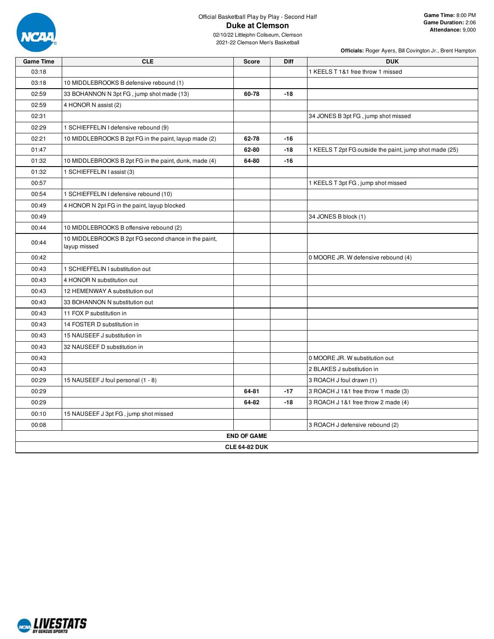

**Officials:** Roger Ayers, Bill Covington Jr., Brent Hampton

| <b>Game Time</b> | <b>CLE</b>                                                           | <b>Score</b>         | Diff  | <b>DUK</b>                                              |
|------------------|----------------------------------------------------------------------|----------------------|-------|---------------------------------------------------------|
| 03:18            |                                                                      |                      |       | 1 KEELS T 1&1 free throw 1 missed                       |
| 03:18            | 10 MIDDLEBROOKS B defensive rebound (1)                              |                      |       |                                                         |
| 02:59            | 33 BOHANNON N 3pt FG, jump shot made (13)                            | 60-78                | $-18$ |                                                         |
| 02:59            | 4 HONOR N assist (2)                                                 |                      |       |                                                         |
| 02:31            |                                                                      |                      |       | 34 JONES B 3pt FG, jump shot missed                     |
| 02:29            | 1 SCHIEFFELIN I defensive rebound (9)                                |                      |       |                                                         |
| 02:21            | 10 MIDDLEBROOKS B 2pt FG in the paint, layup made (2)                | 62-78                | $-16$ |                                                         |
| 01:47            |                                                                      | 62-80                | $-18$ | 1 KEELS T 2pt FG outside the paint, jump shot made (25) |
| 01:32            | 10 MIDDLEBROOKS B 2pt FG in the paint, dunk, made (4)                | 64-80                | $-16$ |                                                         |
| 01:32            | 1 SCHIEFFELIN I assist (3)                                           |                      |       |                                                         |
| 00:57            |                                                                      |                      |       | 1 KEELS T 3pt FG, jump shot missed                      |
| 00:54            | 1 SCHIEFFELIN I defensive rebound (10)                               |                      |       |                                                         |
| 00:49            | 4 HONOR N 2pt FG in the paint, layup blocked                         |                      |       |                                                         |
| 00:49            |                                                                      |                      |       | 34 JONES B block (1)                                    |
| 00:44            | 10 MIDDLEBROOKS B offensive rebound (2)                              |                      |       |                                                         |
| 00:44            | 10 MIDDLEBROOKS B 2pt FG second chance in the paint,<br>layup missed |                      |       |                                                         |
| 00:42            |                                                                      |                      |       | 0 MOORE JR. W defensive rebound (4)                     |
| 00:43            | 1 SCHIEFFELIN I substitution out                                     |                      |       |                                                         |
| 00:43            | 4 HONOR N substitution out                                           |                      |       |                                                         |
| 00:43            | 12 HEMENWAY A substitution out                                       |                      |       |                                                         |
| 00:43            | 33 BOHANNON N substitution out                                       |                      |       |                                                         |
| 00:43            | 11 FOX P substitution in                                             |                      |       |                                                         |
| 00:43            | 14 FOSTER D substitution in                                          |                      |       |                                                         |
| 00:43            | 15 NAUSEEF J substitution in                                         |                      |       |                                                         |
| 00:43            | 32 NAUSEEF D substitution in                                         |                      |       |                                                         |
| 00:43            |                                                                      |                      |       | 0 MOORE JR. W substitution out                          |
| 00:43            |                                                                      |                      |       | 2 BLAKES J substitution in                              |
| 00:29            | 15 NAUSEEF J foul personal (1 - 8)                                   |                      |       | 3 ROACH J foul drawn (1)                                |
| 00:29            |                                                                      | 64-81                | $-17$ | 3 ROACH J 1&1 free throw 1 made (3)                     |
| 00:29            |                                                                      | 64-82                | $-18$ | 3 ROACH J 1&1 free throw 2 made (4)                     |
| 00:10            | 15 NAUSEEF J 3pt FG, jump shot missed                                |                      |       |                                                         |
| 00:08            |                                                                      |                      |       | 3 ROACH J defensive rebound (2)                         |
|                  |                                                                      | <b>END OF GAME</b>   |       |                                                         |
|                  |                                                                      | <b>CLE 64-82 DUK</b> |       |                                                         |

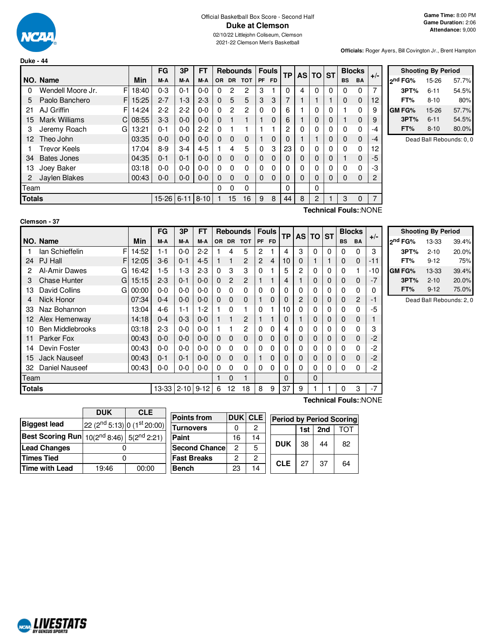

# Official Basketball Box Score - Second Half **Duke at Clemson**

02/10/22 Littlejohn Coliseum, Clemson 2021-22 Clemson Men's Basketball

**Officials:** Roger Ayers, Bill Covington Jr., Brent Hampton

|                        |       | FG      | 3P      | FT         |          |           | <b>Rebounds</b> |           | <b>Fouls</b> | ТP       |          | AS TO ST     |          |           | <b>Blocks</b> | $+/-$ |
|------------------------|-------|---------|---------|------------|----------|-----------|-----------------|-----------|--------------|----------|----------|--------------|----------|-----------|---------------|-------|
| NO. Name               | Min   | M-A     | M-A     | M-A        | OR.      | <b>DR</b> | <b>TOT</b>      | <b>PF</b> | <b>FD</b>    |          |          |              |          | <b>BS</b> | <b>BA</b>     |       |
| F<br>Wendell Moore Jr. | 18:40 | $0 - 3$ | $0 - 1$ | $0 - 0$    | 0        | 2         | 2               | 3         |              | 0        | 4        | 0            | 0        | 0         | 0             | 7     |
| Paolo Banchero<br>F    | 15:25 | $2 - 7$ | $1 - 3$ | $2 - 3$    | $\Omega$ | 5         | 5               | 3         | 3            | 7        |          |              |          | $\Omega$  | 0             | 12    |
| AJ Griffin<br>F        | 14:24 | $2 - 2$ | $2-2$   | $0 - 0$    | $\Omega$ | 2         | $\overline{2}$  | $\Omega$  | 0            | 6        |          | 0            | 0        |           | 0             | 9     |
| Mark Williams<br>C     | 08:55 | $3-3$   | $0 - 0$ | $0 - 0$    | $\Omega$ |           |                 |           | 0            | 6        |          | 0            | 0        |           | $\Omega$      | 9     |
| Jeremy Roach<br>G      | 13:21 | $0 - 1$ | $0 - 0$ | $2 - 2$    | $\Omega$ |           |                 |           |              | 2        | 0        | $\mathbf{0}$ | 0        | 0         | 0             | -4    |
| Theo John              | 03:35 | $0-0$   | $0 - 0$ | $0 - 0$    | $\Omega$ | 0         | 0               |           | 0            | 0        |          |              | 0        | $\Omega$  | 0             | $-4$  |
| <b>Trevor Keels</b>    | 17:04 | $8 - 9$ | $3-4$   | $4 - 5$    |          | 4         | 5               | $\Omega$  | 3            | 23       | 0        | $\mathbf{0}$ | 0        | $\Omega$  | 0             | 12    |
| <b>Bates Jones</b>     | 04:35 | $0 - 1$ | $0 - 1$ | $0 - 0$    | $\Omega$ | $\Omega$  | 0               | 0         | $\Omega$     | 0        | $\Omega$ | $\mathbf 0$  | 0        |           | $\Omega$      | $-5$  |
| Joey Baker             | 03:18 | $0 - 0$ | $0 - 0$ | $0 - 0$    | 0        | 0         | 0               | 0         | 0            | 0        | 0        | 0            | 0        | $\Omega$  | 0             | -3    |
| Jaylen Blakes          | 00:43 | $0 - 0$ | $0 - 0$ | $0 - 0$    | $\Omega$ | 0         | 0               | 0         | $\Omega$     | $\Omega$ | $\Omega$ | $\Omega$     | $\Omega$ | $\Omega$  | $\Omega$      | 2     |
| Team                   |       |         |         |            | $\Omega$ | 0         | 0               |           |              | 0        |          | 0            |          |           |               |       |
| <b>Totals</b>          |       |         |         |            |          | 15        | 16              | 9         | 8            | 44       | 8        | 2            |          | 3         | 0             | 7     |
|                        |       |         |         | 15-26 6-11 | $ 8-10$  |           |                 |           |              |          |          |              |          |           |               |       |

|                     | <b>Shooting By Period</b> |       |
|---------------------|---------------------------|-------|
| <sub>2</sub> nd FG% | 15-26                     | 57.7% |
| 3PT%                | $6 - 11$                  | 54.5% |
| FT%                 | $8 - 10$                  | 80%   |
| GM FG%              | 15-26                     | 57.7% |
| 3PT%                | $6 - 11$                  | 54.5% |
| FT%                 | $8 - 10$                  | 80.0% |

Dead Ball Rebounds: 0, 0

| Clemson - 37 |  |
|--------------|--|
|--------------|--|

**Technical Fouls:**:NONE

|        |                          |       | <b>FG</b>       | 3P      | FT      |          |              | Rebounds   |                | Fouls       | <b>TP</b> |                | AS TO ST     |   |           | <b>Blocks</b> |       |                     | <b>Shooting By Period</b> |                          |
|--------|--------------------------|-------|-----------------|---------|---------|----------|--------------|------------|----------------|-------------|-----------|----------------|--------------|---|-----------|---------------|-------|---------------------|---------------------------|--------------------------|
|        | NO. Name                 | Min   | M-A             | M-A     | M-A     |          | OR DR        | <b>TOT</b> |                | PF FD       |           |                |              |   | <b>BS</b> | <b>BA</b>     | $+/-$ | 2 <sup>nd</sup> FG% | 13-33                     | 39.4%                    |
|        | F<br>lan Schieffelin     | 14:52 | 1-1             | $0-0$   | $2 - 2$ |          | 4            | 5          | $\overline{2}$ |             | 4         | 3              | 0            | 0 | 0         | 0             | 3     | 3PT%                | $2 - 10$                  | 20.0%                    |
| 24     | PJ Hall<br>F             | 12:05 | $3-6$           | $0 - 1$ | $4 - 5$ |          |              | 2          | $\overline{2}$ | 4           | 10        |                |              |   | 0         | 0             | -11   | FT%                 | $9 - 12$                  | 75%                      |
| 2      | Al-Amir Dawes<br>G       | 16:42 | 1-5             | 1-3     | $2 - 3$ | 0        | 3            | 3          | 0              |             | 5         | 2              | 0            | 0 | 0         |               | -10   | <b>GM FG%</b>       | 13-33                     | 39.4%                    |
| 3      | <b>Chase Hunter</b><br>G | 15:15 | $2 - 3$         | $0 - 1$ | $0 - 0$ | $\Omega$ | 2            | 2          |                |             | 4         |                | $\mathbf 0$  | 0 | 0         | $\mathbf{0}$  | $-7$  | 3PT%                | $2 - 10$                  | 20.0%                    |
| 13     | David Collins<br>GI      | 00:00 | $0-0$           | $0-0$   | $0 - 0$ | 0        | 0            | 0          | 0              | 0           |           | 0              |              | 0 | 0         | 0             | 0     | FT%                 | $9 - 12$                  | 75.0%                    |
| 4      | Nick Honor               | 07:34 | $0 - 4$         | $0 - 0$ | $0-0$   | 0        | $\mathbf{0}$ | 0          |                | 0           |           | $\overline{2}$ | 0            | 0 | 0         | $\mathbf{2}$  | -1    |                     |                           | Dead Ball Rebounds: 2, 0 |
| 33     | Naz Bohannon             | 13:04 | $4-6$           | 1-1     | $1-2$   |          | 0            |            | 0              |             | 10        |                |              | 0 | 0         |               | -5    |                     |                           |                          |
|        | 12 Alex Hemenway         | 14:18 | $0 - 4$         | $0 - 3$ | $0-0$   |          |              | 2          |                |             |           |                | 0            | 0 | 0         | 0             |       |                     |                           |                          |
| 10     | <b>Ben Middlebrooks</b>  | 03:18 | $2-3$           | $0-0$   | $0 - 0$ |          |              | 2          | 0              | 0           | 4         | 0              |              | 0 | 0         | 0             | 3     |                     |                           |                          |
| 11     | <b>Parker Fox</b>        | 00:43 | $0 - 0$         | $0-0$   | $0 - 0$ | $\Omega$ | $\Omega$     | $\Omega$   | 0              | $\mathbf 0$ |           | 0              | 0            | 0 | 0         | 0             | $-2$  |                     |                           |                          |
| 14     | Devin Foster             | 00:43 | $0-0$           | $0-0$   | $0 - 0$ | 0        | 0            | 0          | $\Omega$       | 0           |           |                |              | 0 | 0         | 0             | $-2$  |                     |                           |                          |
| 15     | Jack Nauseef             | 00:43 | $0 - 1$         | $0 - 1$ | $0 - 0$ | 0        | $\mathbf{0}$ | 0          |                | 0           | 0         | 0              | 0            | 0 | 0         | 0             | $-2$  |                     |                           |                          |
| 32     | Daniel Nauseef           | 00:43 | $0-0$           | $0-0$   | $0 - 0$ | 0        | 0            | 0          | 0              | $\Omega$    |           |                | 0            | 0 | 0         | 0             | $-2$  |                     |                           |                          |
| Team   |                          |       |                 |         |         |          | $\Omega$     |            |                |             | 0         |                | $\mathbf{0}$ |   |           |               |       |                     |                           |                          |
| Totals |                          |       | 13-33 2-10 9-12 |         |         | 6        | 12           | 18         | 8              | 9           | 37        | 9              |              |   | 0         | 3             | $-7$  |                     |                           |                          |

**Technical Fouls:**:NONE

|                                                                   | <b>DUK</b>                              | <b>CLE</b> |  |  |  |
|-------------------------------------------------------------------|-----------------------------------------|------------|--|--|--|
| <b>Biggest lead</b>                                               | 22 (2 <sup>nd</sup> 5:13) 0 (1st 20:00) |            |  |  |  |
| <b>Best Scoring Run</b> $10(2^{nd} 8:46)$ 5(2 <sup>nd</sup> 2:21) |                                         |            |  |  |  |
| <b>Lead Changes</b>                                               |                                         |            |  |  |  |
| <b>Times Tied</b>                                                 |                                         |            |  |  |  |
| <b>Time with Lead</b>                                             | 19:46                                   | 00:00      |  |  |  |

| <b>Points from</b>    |    | DUK CLE |  | <b>Period by Period Scoring</b> |     |     |    |  |
|-----------------------|----|---------|--|---------------------------------|-----|-----|----|--|
| <b>Turnovers</b>      |    |         |  |                                 | 1st | 2nd |    |  |
| Paint                 | 16 | 14      |  | <b>DUK</b>                      | 38  | 44  | 82 |  |
| <b>Second Chancel</b> | 2  | 5       |  |                                 |     |     |    |  |
| <b>Fast Breaks</b>    | 2  | 2       |  | <b>CLE</b>                      | 27  | 37  | 64 |  |
| <b>Bench</b>          | 23 | 14      |  |                                 |     |     |    |  |